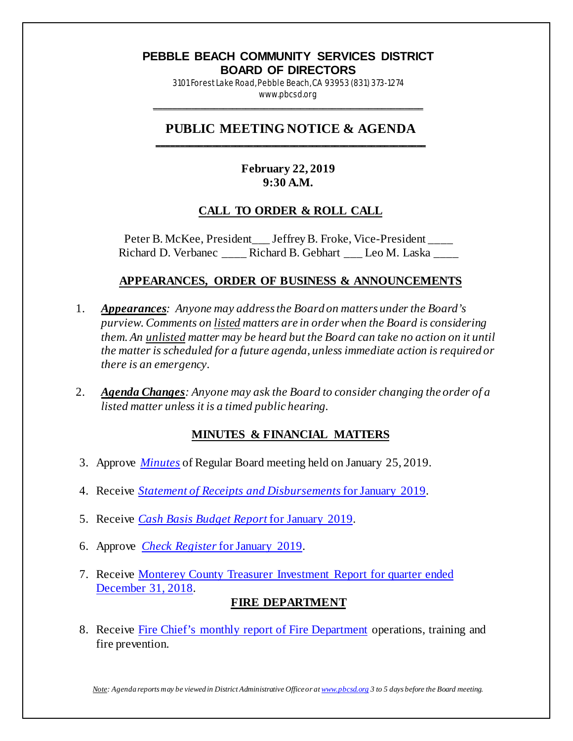#### **PEBBLE BEACH COMMUNITY SERVICES DISTRICT BOARD OF DIRECTORS**

3101 Forest Lake Road, Pebble Beach, CA 93953 (831) 373-1274 www.pbcsd.org

\_\_\_\_\_\_\_\_\_\_\_\_\_\_\_\_\_\_\_\_\_\_\_\_\_\_\_\_\_\_\_\_\_\_\_\_\_\_\_\_\_\_\_\_\_\_\_\_\_\_\_\_\_\_\_\_\_\_\_

### **PUBLIC MEETING NOTICE & AGENDA \_\_\_\_\_\_\_\_\_\_\_\_\_\_\_\_\_\_\_\_\_\_\_\_\_\_\_\_\_\_\_\_\_\_\_\_\_\_\_\_\_\_\_\_\_\_\_\_\_\_\_\_\_\_\_\_\_\_\_**

## **February 22, 2019 9:30 A.M.**

## **CALL TO ORDER & ROLL CALL**

Peter B. McKee, President\_\_\_ Jeffrey B. Froke, Vice-President \_\_\_\_ Richard D. Verbanec **Richard B. Gebhart** Leo M. Laska

## **APPEARANCES, ORDER OF BUSINESS & ANNOUNCEMENTS**

- 1. *Appearances: Anyone may address the Board on matters under the Board's purview. Comments on listed matters are in order when the Board is considering them. An unlisted matter may be heard but the Board can take no action on it until the matter is scheduled for a future agenda, unless immediate action is required or there is an emergency.*
- 2. *Agenda Changes: Anyone may ask the Board to consider changing the order of a listed matter unless it is a timed public hearing.*

## **MINUTES & FINANCIAL MATTERS**

- 3. Approve *[Minutes](http://pbcsd.org/wp-content/uploads/pbcsd/meetings/board/2019/2019-02-22/03_19_0125_PBCSD_Draft_Minutes.pdf)* of Regular Board meeting held on January 25, 2019.
- 4. Receive *[Statement of Receipts and Disbursements](http://pbcsd.org/wp-content/uploads/pbcsd/meetings/board/2019/2019-02-22/04_Statement_of_Receipts_and_Disbursements_for_January_2019.pdf)* for January 2019.
- 5. Receive *[Cash Basis Budget Report](http://pbcsd.org/wp-content/uploads/pbcsd/meetings/board/2019/2019-02-22/05_Cash_Basis_Budget_Report_for_January_2019.pdf)* for January 2019.
- 6. Approve *[Check Register](http://pbcsd.org/wp-content/uploads/pbcsd/meetings/board/2019/2019-02-22/06_Check_Register_for_January_2019.pdf)* for January 2019.
- 7. Receive [Monterey County Treasurer Investment Report for quarter ended](http://pbcsd.org/wp-content/uploads/pbcsd/meetings/board/2019/2019-02-22/07_Monterey_County_Treasurer_Investment_Report_for_Quarter_Ended_Dec_31_2018.pdf)  [December 31, 2018.](http://pbcsd.org/wp-content/uploads/pbcsd/meetings/board/2019/2019-02-22/07_Monterey_County_Treasurer_Investment_Report_for_Quarter_Ended_Dec_31_2018.pdf)

### **FIRE DEPARTMENT**

8. Receive [Fire Chief's monthly report of Fire Department](http://pbcsd.org/wp-content/uploads/pbcsd/meetings/board/2019/2019-02-22/08_Fire_Department_Operations_Report_from_Jan_15_to_Feb_14_2019.pdf) operations, training and fire prevention.

*Note: Agenda reports may be viewed in District Administrative Office or a[t www.pbcsd.org](http://www.pbcsd.org/) 3 to 5 days before the Board meeting.*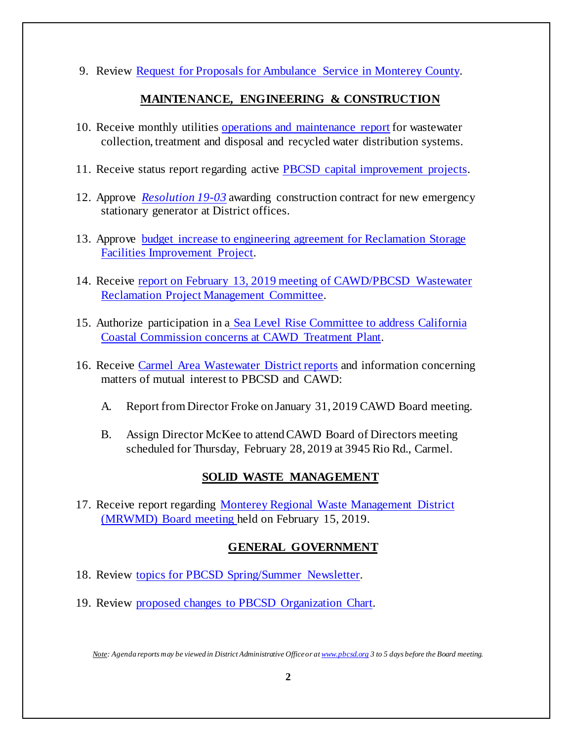9. Review [Request for Proposals for Ambulance Service in Monterey County.](http://pbcsd.org/wp-content/uploads/pbcsd/meetings/board/2019/2019-02-22/09_Request_for_Proposals_for_Ambulance_Services_in_Monterey_County.pdf)

## **MAINTENANCE, ENGINEERING & CONSTRUCTION**

- 10. Receive monthly utilities [operations and maintenance report](http://pbcsd.org/wp-content/uploads/pbcsd/meetings/board/2019/2019-02-22/10_Operations_and_Maintenance_Report.pdf) for wastewater collection, treatment and disposal and recycled water distribution systems.
- 11. Receive status report regarding active [PBCSD capital improvement projects.](http://pbcsd.org/wp-content/uploads/pbcsd/meetings/board/2019/2019-02-22/11_Capital_Improvement_Projects_Report.pdf)
- 12. Approve *[Resolution 19-03](http://pbcsd.org/wp-content/uploads/pbcsd/meetings/board/2019/2019-02-22/12_Res._19-03_Awarding_Construction_Contract_for_New_Emergency_Stationary_Generator_at_District_Offices.pdf)* awarding construction contract for new emergency stationary generator at District offices.
- 13. Approve [budget increase to engineering agreement for Reclamation Storage](http://pbcsd.org/wp-content/uploads/pbcsd/meetings/board/2019/2019-02-22/13_E2_Project_Assignment_38_-_Increase_Engineering_Budget.pdf)  [Facilities Improvement Project.](http://pbcsd.org/wp-content/uploads/pbcsd/meetings/board/2019/2019-02-22/13_E2_Project_Assignment_38_-_Increase_Engineering_Budget.pdf)
- 14. Receive report on February 13, 2019 meeting of CAWD/PBCSD Wastewater [Reclamation Project Management Committee.](http://pbcsd.org/wp-content/uploads/pbcsd/meetings/board/2019/2019-02-22/14_Reclamation_Managment_Committee_Report.pdf)
- 15. Authorize participation in a [Sea Level Rise Committee to address California](http://pbcsd.org/wp-content/uploads/pbcsd/meetings/board/2019/2019-02-22/15_Sea_Level_Rise_Committee_Addressing_California_Coastal_Commission_Regarding_CAWD_Treatment_Plant.pdf)  [Coastal Commission concerns at CAWD Treatment Plant.](http://pbcsd.org/wp-content/uploads/pbcsd/meetings/board/2019/2019-02-22/15_Sea_Level_Rise_Committee_Addressing_California_Coastal_Commission_Regarding_CAWD_Treatment_Plant.pdf)
- 16. Receive Carmel [Area Wastewater District reports](http://pbcsd.org/wp-content/uploads/pbcsd/meetings/board/2019/2019-02-22/16_CAWD_Agenda_and_Reports.pdf) and information concerning matters of mutual interest to PBCSD and CAWD:
	- A. Report from Director Froke on January 31, 2019 CAWD Board meeting.
	- B. Assign Director McKee to attend CAWD Board of Directors meeting scheduled for Thursday, February 28, 2019 at 3945 Rio Rd., Carmel.

# **SOLID WASTE MANAGEMENT**

17. Receive report regarding [Monterey Regional Waste Management District](http://pbcsd.org/wp-content/uploads/pbcsd/meetings/board/2019/2019-02-22/17_MRWMD_Board_Meeting_Agenda_and_GM_Report.pdf)  [\(MRWMD\) Board meeting h](http://pbcsd.org/wp-content/uploads/pbcsd/meetings/board/2019/2019-02-22/17_MRWMD_Board_Meeting_Agenda_and_GM_Report.pdf)eld on February 15, 2019.

# **GENERAL GOVERNMENT**

- 18. Review [topics for PBCSD Spring/Summer Newsletter.](http://pbcsd.org/wp-content/uploads/pbcsd/meetings/board/2019/2019-02-22/18_PBCSD_2019_Spring-Summer_Newsletter_Topics.pdf)
- 19. Review [proposed changes to PBCSD Organization Chart.](http://pbcsd.org/wp-content/uploads/pbcsd/meetings/board/2019/2019-02-22/19_PBCSD_Organizational_Charts.pdf)

*Note: Agenda reports may be viewed in District Administrative Office or a[t www.pbcsd.org](http://www.pbcsd.org/) 3 to 5 days before the Board meeting.*